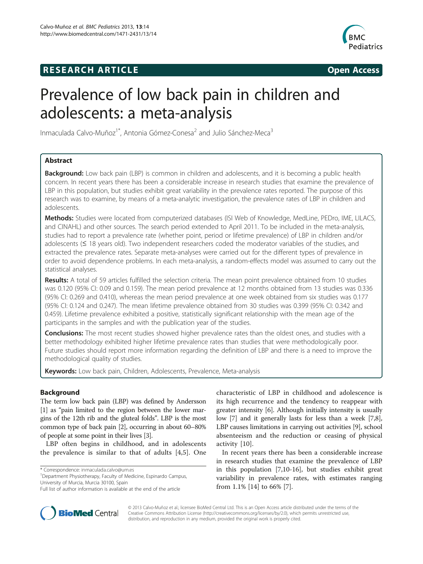## **RESEARCH ARTICLE Example 2014 CONSIDERING CONSIDERING CONSIDERING CONSIDERING CONSIDERING CONSIDERING CONSIDERING CONSIDERING CONSIDERING CONSIDERING CONSIDERING CONSIDERING CONSIDERING CONSIDERING CONSIDERING CONSIDE**



# Prevalence of low back pain in children and adolescents: a meta-analysis

Inmaculada Calvo-Muñoz<sup>1\*</sup>, Antonia Gómez-Conesa<sup>2</sup> and Julio Sánchez-Meca<sup>3</sup>

## Abstract

**Background:** Low back pain (LBP) is common in children and adolescents, and it is becoming a public health concern. In recent years there has been a considerable increase in research studies that examine the prevalence of LBP in this population, but studies exhibit great variability in the prevalence rates reported. The purpose of this research was to examine, by means of a meta-analytic investigation, the prevalence rates of LBP in children and adolescents.

Methods: Studies were located from computerized databases (ISI Web of Knowledge, MedLine, PEDro, IME, LILACS, and CINAHL) and other sources. The search period extended to April 2011. To be included in the meta-analysis, studies had to report a prevalence rate (whether point, period or lifetime prevalence) of LBP in children and/or adolescents (≤ 18 years old). Two independent researchers coded the moderator variables of the studies, and extracted the prevalence rates. Separate meta-analyses were carried out for the different types of prevalence in order to avoid dependence problems. In each meta-analysis, a random-effects model was assumed to carry out the statistical analyses.

Results: A total of 59 articles fulfilled the selection criteria. The mean point prevalence obtained from 10 studies was 0.120 (95% CI: 0.09 and 0.159). The mean period prevalence at 12 months obtained from 13 studies was 0.336 (95% CI: 0.269 and 0.410), whereas the mean period prevalence at one week obtained from six studies was 0.177 (95% CI: 0.124 and 0.247). The mean lifetime prevalence obtained from 30 studies was 0.399 (95% CI: 0.342 and 0.459). Lifetime prevalence exhibited a positive, statistically significant relationship with the mean age of the participants in the samples and with the publication year of the studies.

**Conclusions:** The most recent studies showed higher prevalence rates than the oldest ones, and studies with a better methodology exhibited higher lifetime prevalence rates than studies that were methodologically poor. Future studies should report more information regarding the definition of LBP and there is a need to improve the methodological quality of studies.

Keywords: Low back pain, Children, Adolescents, Prevalence, Meta-analysis

## Background

The term low back pain (LBP) was defined by Andersson [[1](#page-9-0)] as "pain limited to the region between the lower margins of the 12th rib and the gluteal folds". LBP is the most common type of back pain [[2](#page-9-0)], occurring in about 60–80% of people at some point in their lives [\[3](#page-9-0)].

LBP often begins in childhood, and in adolescents the prevalence is similar to that of adults [\[4,5](#page-9-0)]. One

\* Correspondence: [inmaculada.calvo@um.es](mailto:inmaculada.calvo@um.es) <sup>1</sup>

characteristic of LBP in childhood and adolescence is its high recurrence and the tendency to reappear with greater intensity [\[6](#page-9-0)]. Although initially intensity is usually low [\[7](#page-9-0)] and it generally lasts for less than a week [[7](#page-9-0),[8](#page-10-0)], LBP causes limitations in carrying out activities [\[9\]](#page-10-0), school absenteeism and the reduction or ceasing of physical activity [[10\]](#page-10-0).

In recent years there has been a considerable increase in research studies that examine the prevalence of LBP in this population [\[7](#page-9-0)[,10-16](#page-10-0)], but studies exhibit great variability in prevalence rates, with estimates ranging from 1.1% [\[14](#page-10-0)] to 66% [\[7](#page-9-0)].



© 2013 Calvo-Muñoz et al.; licensee BioMed Central Ltd. This is an Open Access article distributed under the terms of the Creative Commons Attribution License (<http://creativecommons.org/licenses/by/2.0>), which permits unrestricted use, distribution, and reproduction in any medium, provided the original work is properly cited.

Department Physiotherapy, Faculty of Medicine, Espinardo Campus, University of Murcia, Murcia 30100, Spain

Full list of author information is available at the end of the article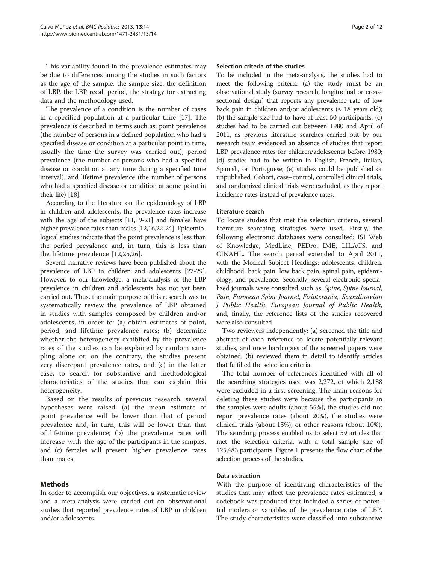This variability found in the prevalence estimates may be due to differences among the studies in such factors as the age of the sample, the sample size, the definition of LBP, the LBP recall period, the strategy for extracting data and the methodology used.

The prevalence of a condition is the number of cases in a specified population at a particular time [\[17\]](#page-10-0). The prevalence is described in terms such as: point prevalence (the number of persons in a defined population who had a specified disease or condition at a particular point in time, usually the time the survey was carried out), period prevalence (the number of persons who had a specified disease or condition at any time during a specified time interval), and lifetime prevalence (the number of persons who had a specified disease or condition at some point in their life) [[18](#page-10-0)].

According to the literature on the epidemiology of LBP in children and adolescents, the prevalence rates increase with the age of the subjects [\[11,19-21\]](#page-10-0) and females have higher prevalence rates than males [\[12,16,22-24](#page-10-0)]. Epidemiological studies indicate that the point prevalence is less than the period prevalence and, in turn, this is less than the lifetime prevalence [[12,25,26](#page-10-0)].

Several narrative reviews have been published about the prevalence of LBP in children and adolescents [\[27-29](#page-10-0)]. However, to our knowledge, a meta-analysis of the LBP prevalence in children and adolescents has not yet been carried out. Thus, the main purpose of this research was to systematically review the prevalence of LBP obtained in studies with samples composed by children and/or adolescents, in order to: (a) obtain estimates of point, period, and lifetime prevalence rates; (b) determine whether the heterogeneity exhibited by the prevalence rates of the studies can be explained by random sampling alone or, on the contrary, the studies present very discrepant prevalence rates, and (c) in the latter case, to search for substantive and methodological characteristics of the studies that can explain this heterogeneity.

Based on the results of previous research, several hypotheses were raised: (a) the mean estimate of point prevalence will be lower than that of period prevalence and, in turn, this will be lower than that of lifetime prevalence; (b) the prevalence rates will increase with the age of the participants in the samples, and (c) females will present higher prevalence rates than males.

## Methods

In order to accomplish our objectives, a systematic review and a meta-analysis were carried out on observational studies that reported prevalence rates of LBP in children and/or adolescents.

#### Selection criteria of the studies

To be included in the meta-analysis, the studies had to meet the following criteria: (a) the study must be an observational study (survey research, longitudinal or crosssectional design) that reports any prevalence rate of low back pain in children and/or adolescents  $(\leq 18$  years old); (b) the sample size had to have at least 50 participants; (c) studies had to be carried out between 1980 and April of 2011, as previous literature searches carried out by our research team evidenced an absence of studies that report LBP prevalence rates for children/adolescents before 1980; (d) studies had to be written in English, French, Italian, Spanish, or Portuguese; (e) studies could be published or unpublished. Cohort, case–control, controlled clinical trials, and randomized clinical trials were excluded, as they report incidence rates instead of prevalence rates.

#### Literature search

To locate studies that met the selection criteria, several literature searching strategies were used. Firstly, the following electronic databases were consulted: ISI Web of Knowledge, MedLine, PEDro, IME, LILACS, and CINAHL. The search period extended to April 2011, with the Medical Subject Headings: adolescents, children, childhood, back pain, low back pain, spinal pain, epidemiology, and prevalence. Secondly, several electronic specialized journals were consulted such as, Spine, Spine Journal, Pain, European Spine Journal, Fisioterapia, Scandinavian J Public Health, European Journal of Public Health, and, finally, the reference lists of the studies recovered were also consulted.

Two reviewers independently: (a) screened the title and abstract of each reference to locate potentially relevant studies, and once hardcopies of the screened papers were obtained, (b) reviewed them in detail to identify articles that fulfilled the selection criteria.

The total number of references identified with all of the searching strategies used was 2,272, of which 2,188 were excluded in a first screening. The main reasons for deleting these studies were because the participants in the samples were adults (about 55%), the studies did not report prevalence rates (about 20%), the studies were clinical trials (about 15%), or other reasons (about 10%). The searching process enabled us to select 59 articles that met the selection criteria, with a total sample size of 125,483 participants. Figure [1](#page-2-0) presents the flow chart of the selection process of the studies.

#### Data extraction

With the purpose of identifying characteristics of the studies that may affect the prevalence rates estimated, a codebook was produced that included a series of potential moderator variables of the prevalence rates of LBP. The study characteristics were classified into substantive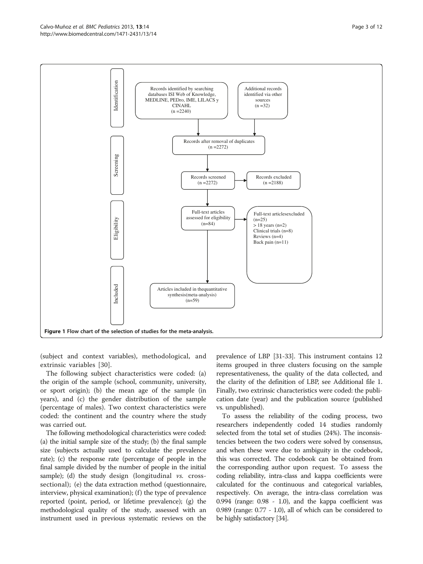<span id="page-2-0"></span>

(subject and context variables), methodological, and extrinsic variables [[30\]](#page-10-0).

The following subject characteristics were coded: (a) the origin of the sample (school, community, university, or sport origin); (b) the mean age of the sample (in years), and (c) the gender distribution of the sample (percentage of males). Two context characteristics were coded: the continent and the country where the study was carried out.

The following methodological characteristics were coded: (a) the initial sample size of the study; (b) the final sample size (subjects actually used to calculate the prevalence rate); (c) the response rate (percentage of people in the final sample divided by the number of people in the initial sample); (d) the study design (longitudinal  $vs.$  crosssectional); (e) the data extraction method (questionnaire, interview, physical examination); (f) the type of prevalence reported (point, period, or lifetime prevalence); (g) the methodological quality of the study, assessed with an instrument used in previous systematic reviews on the prevalence of LBP [[31-33\]](#page-10-0). This instrument contains 12 items grouped in three clusters focusing on the sample representativeness, the quality of the data collected, and the clarity of the definition of LBP, see Additional file [1](#page-9-0). Finally, two extrinsic characteristics were coded: the publication date (year) and the publication source (published vs. unpublished).

To assess the reliability of the coding process, two researchers independently coded 14 studies randomly selected from the total set of studies (24%). The inconsistencies between the two coders were solved by consensus, and when these were due to ambiguity in the codebook, this was corrected. The codebook can be obtained from the corresponding author upon request. To assess the coding reliability, intra-class and kappa coefficients were calculated for the continuous and categorical variables, respectively. On average, the intra-class correlation was 0.994 (range: 0.98 - 1.0), and the kappa coefficient was 0.989 (range: 0.77 - 1.0), all of which can be considered to be highly satisfactory [\[34](#page-10-0)].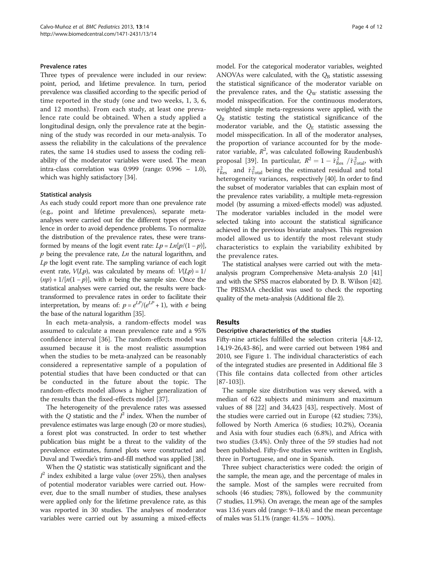#### Prevalence rates

Three types of prevalence were included in our review: point, period, and lifetime prevalence. In turn, period prevalence was classified according to the specific period of time reported in the study (one and two weeks, 1, 3, 6, and 12 months). From each study, at least one prevalence rate could be obtained. When a study applied a longitudinal design, only the prevalence rate at the beginning of the study was recorded in our meta-analysis. To assess the reliability in the calculations of the prevalence rates, the same 14 studies used to assess the coding reliability of the moderator variables were used. The mean intra-class correlation was 0.999 (range: 0.996 – 1.0), which was highly satisfactory [\[34\]](#page-10-0).

#### Statistical analysis

As each study could report more than one prevalence rate (e.g., point and lifetime prevalences), separate metaanalyses were carried out for the different types of prevalence in order to avoid dependence problems. To normalize the distribution of the prevalence rates, these were transformed by means of the logit event rate:  $Lp = Ln[p/(1-p)],$  $p$  being the prevalence rate,  $Ln$  the natural logarithm, and  $Lp$  the logit event rate. The sampling variance of each logit event rate,  $V(Lp)$ , was calculated by means of:  $V(Lp) = 1/2$  $(np) + 1/[n(1-p)]$ , with *n* being the sample size. Once the statistical analyses were carried out, the results were backtransformed to prevalence rates in order to facilitate their interpretation, by means of:  $p = e^{LP}/(e^{LP} + 1)$ , with e being the base of the natural logarithm [\[35\]](#page-10-0).

In each meta-analysis, a random-effects model was assumed to calculate a mean prevalence rate and a 95% confidence interval [\[36](#page-10-0)]. The random-effects model was assumed because it is the most realistic assumption when the studies to be meta-analyzed can be reasonably considered a representative sample of a population of potential studies that have been conducted or that can be conducted in the future about the topic. The random-effects model allows a higher generalization of the results than the fixed-effects model [\[37](#page-10-0)].

The heterogeneity of the prevalence rates was assessed with the  $Q$  statistic and the  $I^2$  index. When the number of prevalence estimates was large enough (20 or more studies), a forest plot was constructed. In order to test whether publication bias might be a threat to the validity of the prevalence estimates, funnel plots were constructed and Duval and Tweedie's trim-and-fill method was applied [\[38\]](#page-10-0).

When the Q statistic was statistically significant and the  $I^2$  index exhibited a large value (over 25%), then analyses of potential moderator variables were carried out. However, due to the small number of studies, these analyses were applied only for the lifetime prevalence rate, as this was reported in 30 studies. The analyses of moderator variables were carried out by assuming a mixed-effects

model. For the categorical moderator variables, weighted ANOVAs were calculated, with the  $Q_B$  statistic assessing the statistical significance of the moderator variable on the prevalence rates, and the  $Q_W$  statistic assessing the model misspecification. For the continuous moderators, weighted simple meta-regressions were applied, with the  $Q_R$  statistic testing the statistical significance of the moderator variable, and the  $Q_E$  statistic assessing the model misspecification. In all of the moderator analyses, the proportion of variance accounted for by the moderator variable,  $R^2$ , was calculated following Raudenbush's proposal [\[39](#page-10-0)]. In particular,  $R^2 = 1 - \hat{\tau}_{\text{Res}}^2 / \hat{\tau}_{\text{Total}}^2$ , with  $\hat{\tau}_{\text{Res}}^2$  and  $\hat{\tau}_{\text{Total}}^2$  being the estimated residual and total heterogeneity variances, respectively [[40](#page-10-0)]. In order to find the subset of moderator variables that can explain most of the prevalence rates variability, a multiple meta-regression model (by assuming a mixed-effects model) was adjusted. The moderator variables included in the model were selected taking into account the statistical significance achieved in the previous bivariate analyses. This regression model allowed us to identify the most relevant study characteristics to explain the variability exhibited by the prevalence rates.

The statistical analyses were carried out with the metaanalysis program Comprehensive Meta-analysis 2.0 [\[41](#page-10-0)] and with the SPSS macros elaborated by D. B. Wilson [\[42](#page-10-0)]. The PRISMA checklist was used to check the reporting quality of the meta-analysis (Additional file [2\)](#page-9-0).

#### Results

## Descriptive characteristics of the studies

Fifty-nine articles fulfilled the selection criteria [\[4](#page-9-0)[,8](#page-10-0)-[12](#page-10-0), [14,19-26,43](#page-10-0)[-86](#page-11-0)], and were carried out between 1984 and 2010, see Figure [1.](#page-2-0) The individual characteristics of each of the integrated studies are presented in Additional file [3](#page-9-0) (This file contains data collected from other articles [[87-103\]](#page-11-0)).

The sample size distribution was very skewed, with a median of 622 subjects and minimum and maximum values of 88 [[22](#page-10-0)] and 34,423 [[43](#page-10-0)], respectively. Most of the studies were carried out in Europe (42 studies; 73%), followed by North America (6 studies; 10.2%), Oceania and Asia with four studies each (6.8%), and Africa with two studies (3.4%). Only three of the 59 studies had not been published. Fifty-five studies were written in English, three in Portuguese, and one in Spanish.

Three subject characteristics were coded: the origin of the sample, the mean age, and the percentage of males in the sample. Most of the samples were recruited from schools (46 studies; 78%), followed by the community (7 studies, 11.9%). On average, the mean age of the samples was 13.6 years old (range: 9–18.4) and the mean percentage of males was 51.1% (range: 41.5% – 100%).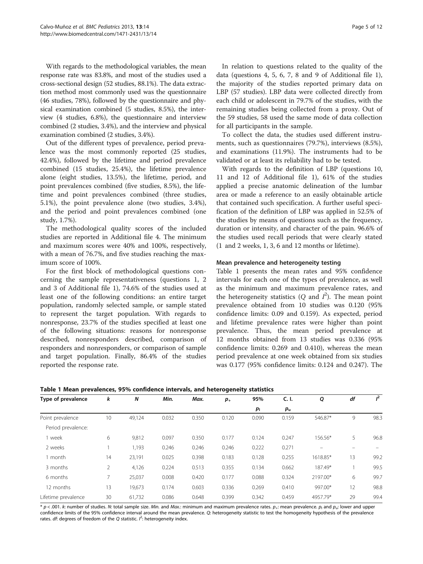<span id="page-4-0"></span>With regards to the methodological variables, the mean response rate was 83.8%, and most of the studies used a cross-sectional design (52 studies, 88.1%). The data extraction method most commonly used was the questionnaire (46 studies, 78%), followed by the questionnaire and physical examination combined (5 studies, 8.5%), the interview (4 studies, 6.8%), the questionnaire and interview combined (2 studies, 3.4%), and the interview and physical examination combined (2 studies, 3.4%).

Out of the different types of prevalence, period prevalence was the most commonly reported (25 studies, 42.4%), followed by the lifetime and period prevalence combined (15 studies, 25.4%), the lifetime prevalence alone (eight studies, 13.5%), the lifetime, period, and point prevalences combined (five studies, 8.5%), the lifetime and point prevalences combined (three studies, 5.1%), the point prevalence alone (two studies, 3.4%), and the period and point prevalences combined (one study, 1.7%).

The methodological quality scores of the included studies are reported in Additional file [4](#page-9-0). The minimum and maximum scores were 40% and 100%, respectively, with a mean of 76.7%, and five studies reaching the maximum score of 100%.

For the first block of methodological questions concerning the sample representativeness (questions 1, 2 and 3 of Additional file [1\)](#page-9-0), 74.6% of the studies used at least one of the following conditions: an entire target population, randomly selected sample, or sample stated to represent the target population. With regards to nonresponse, 23.7% of the studies specified at least one of the following situations: reasons for nonresponse described, nonresponders described, comparison of responders and nonresponders, or comparison of sample and target population. Finally, 86.4% of the studies reported the response rate.

In relation to questions related to the quality of the data (questions 4, 5, 6, 7, 8 and 9 of Additional file [1](#page-9-0)), the majority of the studies reported primary data on LBP (57 studies). LBP data were collected directly from each child or adolescent in 79.7% of the studies, with the remaining studies being collected from a proxy. Out of the 59 studies, 58 used the same mode of data collection for all participants in the sample.

To collect the data, the studies used different instruments, such as questionnaires (79.7%), interviews (8.5%), and examinations (11.9%). The instruments had to be validated or at least its reliability had to be tested.

With regards to the definition of LBP (questions 10, 11 and 12 of Additional file [1\)](#page-9-0), 61% of the studies applied a precise anatomic delineation of the lumbar area or made a reference to an easily obtainable article that contained such specification. A further useful specification of the definition of LBP was applied in 52.5% of the studies by means of questions such as the frequency, duration or intensity, and character of the pain. 96.6% of the studies used recall periods that were clearly stated (1 and 2 weeks, 1, 3, 6 and 12 months or lifetime).

#### Mean prevalence and heterogeneity testing

Table 1 presents the mean rates and 95% confidence intervals for each one of the types of prevalence, as well as the minimum and maximum prevalence rates, and the heterogeneity statistics (*Q* and  $I^2$ ). The mean point prevalence obtained from 10 studies was 0.120 (95% confidence limits: 0.09 and 0.159). As expected, period and lifetime prevalence rates were higher than point prevalence. Thus, the mean period prevalence at 12 months obtained from 13 studies was 0.336 (95% confidence limits: 0.269 and 0.410), whereas the mean period prevalence at one week obtained from six studies was 0.177 (95% confidence limits: 0.124 and 0.247). The

Table 1 Mean prevalences, 95% confidence intervals, and heterogeneity statistics

| Type of prevalence  | k  | N      | Min.  | Max.  | $p_{+}$ | 95%     | C. I.       | Q        | df | $l^2$ |
|---------------------|----|--------|-------|-------|---------|---------|-------------|----------|----|-------|
|                     |    |        |       |       |         | $p_{1}$ | $p_{\rm u}$ |          |    |       |
| Point prevalence    | 10 | 49,124 | 0.032 | 0.350 | 0.120   | 0.090   | 0.159       | 546.87*  | 9  | 98.3  |
| Period prevalence:  |    |        |       |       |         |         |             |          |    |       |
| I week              | 6  | 9,812  | 0.097 | 0.350 | 0.177   | 0.124   | 0.247       | 156.56*  | 5  | 96.8  |
| 2 weeks             |    | 1,193  | 0.246 | 0.246 | 0.246   | 0.222   | 0.271       |          |    |       |
| 1 month             | 14 | 23,191 | 0.025 | 0.398 | 0.183   | 0.128   | 0.255       | 1618.85* | 13 | 99.2  |
| 3 months            | 2  | 4,126  | 0.224 | 0.513 | 0.355   | 0.134   | 0.662       | 187.49*  |    | 99.5  |
| 6 months            | 7  | 25,037 | 0.008 | 0.420 | 0.177   | 0.088   | 0.324       | 2197.00* | 6  | 99.7  |
| 12 months           | 13 | 19,673 | 0.174 | 0.603 | 0.336   | 0.269   | 0.410       | 997.00*  | 12 | 98.8  |
| Lifetime prevalence | 30 | 61,732 | 0.086 | 0.648 | 0.399   | 0.342   | 0.459       | 4957.79* | 29 | 99.4  |

\*  $p < .001$ . k: number of studies. N: total sample size. Min. and Max.: minimum and maximum prevalence rates.  $p_i$ : mean prevalence.  $p_i$  and  $p_{ui}$ : lower and upper confidence limits of the 95% confidence interval around the mean prevalence. Q: heterogeneity statistic to test the homogeneity hypothesis of the prevalence rates. df: degrees of freedom of the Q statistic.  $l^2$ : heterogeneity index.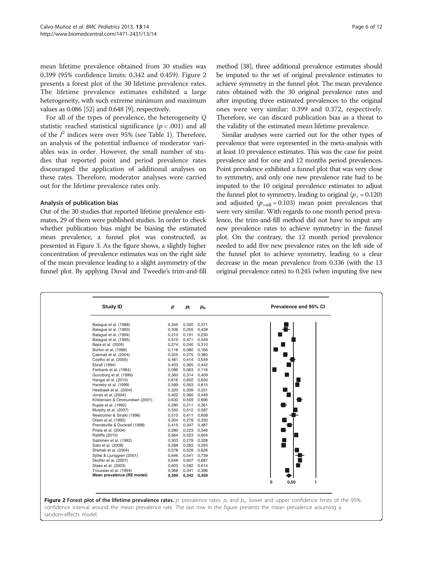mean lifetime prevalence obtained from 30 studies was 0.399 (95% confidence limits: 0.342 and 0.459). Figure 2 presents a forest plot of the 30 lifetime prevalence rates. The lifetime prevalence estimates exhibited a large heterogeneity, with such extreme minimum and maximum values as 0.086 [[52](#page-10-0)] and 0.648 [[9\]](#page-10-0), respectively.

For all of the types of prevalence, the heterogeneity Q statistic reached statistical significance ( $p < .001$ ) and all of the  $I^2$  indices were over 95% (see Table [1](#page-4-0)). Therefore, an analysis of the potential influence of moderator variables was in order. However, the small number of studies that reported point and period prevalence rates discouraged the application of additional analyses on these rates. Therefore, moderator analyses were carried out for the lifetime prevalence rates only.

#### Analysis of publication bias

Out of the 30 studies that reported lifetime prevalence estimates, 29 of them were published studies. In order to check whether publication bias might be biasing the estimated mean prevalence, a funnel plot was constructed, as presented in Figure [3](#page-6-0). As the figure shows, a slightly higher concentration of prevalence estimates was on the right side of the mean prevalence leading to a slight asymmetry of the funnel plot. By applying Duval and Tweedie's trim-and-fill

method [\[38](#page-10-0)], three additional prevalence estimates should be imputed to the set of original prevalence estimates to achieve symmetry in the funnel plot. The mean prevalence rates obtained with the 30 original prevalence rates and after imputing three estimated prevalences to the original ones were very similar: 0.399 and 0.372, respectively. Therefore, we can discard publication bias as a threat to the validity of the estimated mean lifetime prevalence.

Similar analyses were carried out for the other types of prevalence that were represented in the meta-analysis with at least 10 prevalence estimates. This was the case for point prevalence and for one and 12 months period prevalences. Point prevalence exhibited a funnel plot that was very close to symmetry, and only one new prevalence rate had to be imputed to the 10 original prevalence estimates to adjust the funnel plot to symmetry, leading to original  $(p_{+} = 0.120)$ and adjusted ( $p_{+adj} = 0.103$ ) mean point prevalences that were very similar. With regards to one month period prevalence, the trim-and-fill method did not have to imput any new prevalence rates to achieve symmetry in the funnel plot. On the contrary, the 12 month period prevalence needed to add five new prevalence rates on the left side of the funnel plot to achieve symmetry, leading to a clear decrease in the mean prevalence from 0.336 (with the 13 original prevalence rates) to 0.245 (when imputing five new

| Balagué et al. (1988)<br>0,320<br>0,371<br>0,345<br>Balagué et al. (1993)<br>0,255<br>0,428<br>0,336<br>Balaqué et al. (1994)<br>0,191 0,230<br>0,210<br>Balagué et al. (1995)<br>0,510<br>0,471<br>0,549<br>Bejia et al. (2005)<br>0,274<br>0,240 0,310<br>0,116<br>0,080 0,166<br>Burton et al. (1996)<br>Çakmak et al. (2004)<br>0,325<br>0,275 0,380<br>0,481<br>0,414 0,549<br>Coelho et al. (2005)<br>0,403<br>0,365 0,442<br>Ebrall (1994)<br>Fairbank et al. (1984)<br>0,086<br>0,063 0,116<br>Gunzburg et al. (1999)<br>0,360<br>0,314 0,409<br>Hangai et al. (2010)<br>0,616<br>0,602<br>0,630<br>0,589<br>0,563 0,615<br>Harreby et al. (1999)<br>Hestbaek et al. (2004)<br>0,320<br>0,309 0,331<br>0,402<br>0,360 0,446<br>Jones et al. (2004)<br>Kristensen & Ommundsen (2001)<br>0,630<br>0,559 0,696<br>0,211 0,361<br>Kujala et al. (1992)<br>0,280 |
|---------------------------------------------------------------------------------------------------------------------------------------------------------------------------------------------------------------------------------------------------------------------------------------------------------------------------------------------------------------------------------------------------------------------------------------------------------------------------------------------------------------------------------------------------------------------------------------------------------------------------------------------------------------------------------------------------------------------------------------------------------------------------------------------------------------------------------------------------------------------|
|                                                                                                                                                                                                                                                                                                                                                                                                                                                                                                                                                                                                                                                                                                                                                                                                                                                                     |
|                                                                                                                                                                                                                                                                                                                                                                                                                                                                                                                                                                                                                                                                                                                                                                                                                                                                     |
|                                                                                                                                                                                                                                                                                                                                                                                                                                                                                                                                                                                                                                                                                                                                                                                                                                                                     |
|                                                                                                                                                                                                                                                                                                                                                                                                                                                                                                                                                                                                                                                                                                                                                                                                                                                                     |
|                                                                                                                                                                                                                                                                                                                                                                                                                                                                                                                                                                                                                                                                                                                                                                                                                                                                     |
|                                                                                                                                                                                                                                                                                                                                                                                                                                                                                                                                                                                                                                                                                                                                                                                                                                                                     |
|                                                                                                                                                                                                                                                                                                                                                                                                                                                                                                                                                                                                                                                                                                                                                                                                                                                                     |
|                                                                                                                                                                                                                                                                                                                                                                                                                                                                                                                                                                                                                                                                                                                                                                                                                                                                     |
|                                                                                                                                                                                                                                                                                                                                                                                                                                                                                                                                                                                                                                                                                                                                                                                                                                                                     |
|                                                                                                                                                                                                                                                                                                                                                                                                                                                                                                                                                                                                                                                                                                                                                                                                                                                                     |
|                                                                                                                                                                                                                                                                                                                                                                                                                                                                                                                                                                                                                                                                                                                                                                                                                                                                     |
|                                                                                                                                                                                                                                                                                                                                                                                                                                                                                                                                                                                                                                                                                                                                                                                                                                                                     |
|                                                                                                                                                                                                                                                                                                                                                                                                                                                                                                                                                                                                                                                                                                                                                                                                                                                                     |
|                                                                                                                                                                                                                                                                                                                                                                                                                                                                                                                                                                                                                                                                                                                                                                                                                                                                     |
|                                                                                                                                                                                                                                                                                                                                                                                                                                                                                                                                                                                                                                                                                                                                                                                                                                                                     |
|                                                                                                                                                                                                                                                                                                                                                                                                                                                                                                                                                                                                                                                                                                                                                                                                                                                                     |
|                                                                                                                                                                                                                                                                                                                                                                                                                                                                                                                                                                                                                                                                                                                                                                                                                                                                     |
| Murphy et al. (2007)<br>0,550<br>0,512 0,587                                                                                                                                                                                                                                                                                                                                                                                                                                                                                                                                                                                                                                                                                                                                                                                                                        |
| Newcomer & Sinaki (1996)<br>0,510<br>0,411 0,608                                                                                                                                                                                                                                                                                                                                                                                                                                                                                                                                                                                                                                                                                                                                                                                                                    |
| Olsen et al. (1992)<br>0,304<br>0,279 0,330                                                                                                                                                                                                                                                                                                                                                                                                                                                                                                                                                                                                                                                                                                                                                                                                                         |
| 0,347 0,487<br>Prendeville & Dockrell (1998)<br>0,415                                                                                                                                                                                                                                                                                                                                                                                                                                                                                                                                                                                                                                                                                                                                                                                                               |
| 0,223 0,346<br>Prista et al. (2004)<br>0,280                                                                                                                                                                                                                                                                                                                                                                                                                                                                                                                                                                                                                                                                                                                                                                                                                        |
| Ratliffe (2010)<br>0,564<br>0,523<br>0,604                                                                                                                                                                                                                                                                                                                                                                                                                                                                                                                                                                                                                                                                                                                                                                                                                          |
| 0,303<br>0,279 0,328<br>Salminen et al. (1992)                                                                                                                                                                                                                                                                                                                                                                                                                                                                                                                                                                                                                                                                                                                                                                                                                      |
| 0,288<br>0,283 0,293<br>Sato et al. (2008)                                                                                                                                                                                                                                                                                                                                                                                                                                                                                                                                                                                                                                                                                                                                                                                                                          |
| 0,529 0,626<br>Shehab et al. (2004)<br>0,578                                                                                                                                                                                                                                                                                                                                                                                                                                                                                                                                                                                                                                                                                                                                                                                                                        |
| 0,541 0,739<br>Sjölie & Ljunggren (2001)<br>0,646                                                                                                                                                                                                                                                                                                                                                                                                                                                                                                                                                                                                                                                                                                                                                                                                                   |
| Skoffer et al. (2007)<br>0,648<br>0,607 0,687                                                                                                                                                                                                                                                                                                                                                                                                                                                                                                                                                                                                                                                                                                                                                                                                                       |
| Staes et al. (2003)<br>0,603<br>0,592 0,614                                                                                                                                                                                                                                                                                                                                                                                                                                                                                                                                                                                                                                                                                                                                                                                                                         |
| Troussier et al. (1994)<br>0,341 0,396<br>0,368<br>Mean prevalence (RE model)                                                                                                                                                                                                                                                                                                                                                                                                                                                                                                                                                                                                                                                                                                                                                                                       |
| 0,399 0,342 0,459                                                                                                                                                                                                                                                                                                                                                                                                                                                                                                                                                                                                                                                                                                                                                                                                                                                   |
| 0,50<br>1<br>0                                                                                                                                                                                                                                                                                                                                                                                                                                                                                                                                                                                                                                                                                                                                                                                                                                                      |

random-effects model.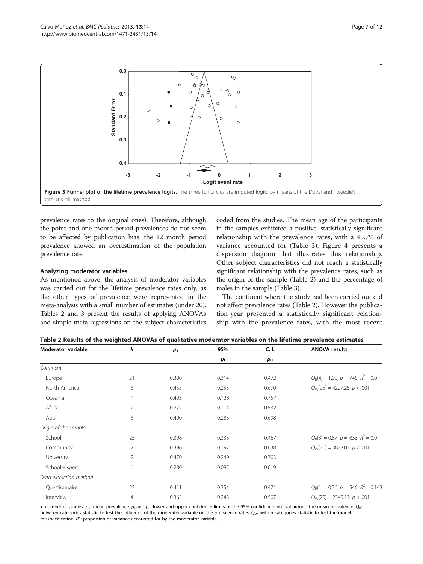<span id="page-6-0"></span>

prevalence rates to the original ones). Therefore, although the point and one month period prevalences do not seem to be affected by publication bias, the 12 month period prevalence showed an overestimation of the population prevalence rate.

### Analyzing moderator variables

As mentioned above, the analysis of moderator variables was carried out for the lifetime prevalence rates only, as the other types of prevalence were represented in the meta-analysis with a small number of estimates (under 20). Tables 2 and [3](#page-7-0) present the results of applying ANOVAs and simple meta-regressions on the subject characteristics

coded from the studies. The mean age of the participants in the samples exhibited a positive, statistically significant relationship with the prevalence rates, with a 45.7% of variance accounted for (Table [3\)](#page-7-0). Figure [4](#page-7-0) presents a dispersion diagram that illustrates this relationship. Other subject characteristics did not reach a statistically significant relationship with the prevalence rates, such as the origin of the sample (Table 2) and the percentage of males in the sample (Table [3\)](#page-7-0).

The continent where the study had been carried out did not affect prevalence rates (Table 2). However the publication year presented a statistically significant relationship with the prevalence rates, with the most recent

| <b>Moderator variable</b> | k              | $p_{+}$ | 95%            | C.1.        | <b>ANOVA results</b>                         |  |
|---------------------------|----------------|---------|----------------|-------------|----------------------------------------------|--|
|                           |                |         | p <sub>1</sub> | $p_{\rm u}$ |                                              |  |
| Continent:                |                |         |                |             |                                              |  |
| Europe                    | 21             | 0.390   | 0.314          | 0.472       | $Q_B(4) = 1.95$ , $p = .745$ ; $R^2 = 0.0$   |  |
| North America             | 3              | 0.455   | 0.255          | 0.670       | $Q_W(25) = 4227.25$ , $p < .001$             |  |
| Oceania                   |                | 0.403   | 0.128          | 0.757       |                                              |  |
| Africa                    | $\overline{2}$ | 0.277   | 0.114          | 0.532       |                                              |  |
| Asia                      | 3              | 0.490   | 0.285          | 0.698       |                                              |  |
| Origin of the sample:     |                |         |                |             |                                              |  |
| School                    | 25             | 0.398   | 0.333          | 0.467       | $Q_R(3) = 0.87$ , $p = .833$ ; $R^2 = 0.0$   |  |
| Community                 | $\overline{2}$ | 0.396   | 0.197          | 0.638       | $Q_w(26) = 3833.03, p < .001$                |  |
| University                | $\overline{2}$ | 0.470   | 0.249          | 0.703       |                                              |  |
| School + sport            |                | 0.280   | 0.085          | 0.619       |                                              |  |
| Data extraction method:   |                |         |                |             |                                              |  |
| Questionnaire             | 23             | 0.411   | 0.354          | 0.471       | $Q_B(1) = 0.36$ , $p = .546$ ; $R^2 = 0.143$ |  |
| Interview                 | $\overline{4}$ | 0.365   | 0.243          | 0.507       | $Q_w(25) = 2345.19, p < .001$                |  |

Table 2 Results of the weighted ANOVAs of qualitative moderator variables on the lifetime prevalence estimates

k: number of studies.  $p_+$ : mean prevalence.  $p_1$  and  $p_0$ : lower and upper confidence limits of the 95% confidence interval around the mean prevalence. Q<sub>B</sub>: between-categories statistic to test the influence of the moderator variable on the prevalence rates. Q<sub>W</sub>: within-categories statistic to test the model misspecification.  $R^2$ : proportion of variance accounted for by the moderator variable.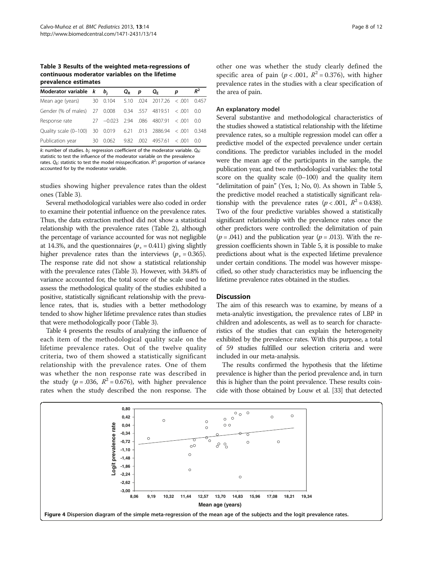<span id="page-7-0"></span>Table 3 Results of the weighted meta-regressions of continuous moderator variables on the lifetime prevalence estimates

| Moderator variable $k$ $b_i$                              |    |       | $Q_{\rm R}$ | p | Q <sub>F</sub>                          | р | $R^2$ |
|-----------------------------------------------------------|----|-------|-------------|---|-----------------------------------------|---|-------|
| Mean age (years)                                          |    |       |             |   | 30 0.104 5.10 .024 2017.26 < .001 0.457 |   |       |
| Gender (% of males) 27 0.008 0.34 .557 4819.51 < .001     |    |       |             |   |                                         |   | -0.0  |
| Response rate                                             |    |       |             |   | 27 -0.023 2.94 .086 4807.91 < .001      |   | -0.0  |
| Quality scale (0-100) 30 0.019 6.21 .013 2886.94 $<$ .001 |    |       |             |   |                                         |   | 0.348 |
| Publication year                                          | 30 | 0.062 |             |   | $9.82$ .002 4957.61 < .001              |   | -0.0  |

k: number of studies.  $b_j$ : regression coefficient of the moderator variable.  $Q_{\mathsf{R}}$ : statistic to test the influence of the moderator variable on the prevalence rates.  $Q_{\rm E}$ : statistic to test the model misspecification.  $R^2$ : proportion of variance accounted for by the moderator variable.

studies showing higher prevalence rates than the oldest ones (Table 3).

Several methodological variables were also coded in order to examine their potential influence on the prevalence rates. Thus, the data extraction method did not show a statistical relationship with the prevalence rates (Table [2\)](#page-6-0), although the percentage of variance accounted for was not negligible at 14.3%, and the questionnaires ( $p_{+} = 0.411$ ) giving slightly higher prevalence rates than the interviews ( $p_{+} = 0.365$ ). The response rate did not show a statistical relationship with the prevalence rates (Table 3). However, with 34.8% of variance accounted for, the total score of the scale used to assess the methodological quality of the studies exhibited a positive, statistically significant relationship with the prevalence rates, that is, studies with a better methodology tended to show higher lifetime prevalence rates than studies that were methodologically poor (Table 3).

Table [4](#page-8-0) presents the results of analyzing the influence of each item of the methodological quality scale on the lifetime prevalence rates. Out of the twelve quality criteria, two of them showed a statistically significant relationship with the prevalence rates. One of them was whether the non response rate was described in the study ( $p = .036$ ,  $R^2 = 0.676$ ), with higher prevalence rates when the study described the non response. The other one was whether the study clearly defined the specific area of pain ( $p < .001$ ,  $R^2 = 0.376$ ), with higher prevalence rates in the studies with a clear specification of the area of pain.

#### An explanatory model

Several substantive and methodological characteristics of the studies showed a statistical relationship with the lifetime prevalence rates, so a multiple regression model can offer a predictive model of the expected prevalence under certain conditions. The predictor variables included in the model were the mean age of the participants in the sample, the publication year, and two methodological variables: the total score on the quality scale (0–100) and the quality item "delimitation of pain" (Yes, 1; No, 0). As shown in Table [5](#page-8-0), the predictive model reached a statistically significant relationship with the prevalence rates ( $p < .001$ ,  $R^2 = 0.438$ ). Two of the four predictive variables showed a statistically significant relationship with the prevalence rates once the other predictors were controlled: the delimitation of pain  $(p = .041)$  and the publication year  $(p = .013)$ . With the regression coefficients shown in Table [5](#page-8-0), it is possible to make predictions about what is the expected lifetime prevalence under certain conditions. The model was however misspecified, so other study characteristics may be influencing the lifetime prevalence rates obtained in the studies.

## **Discussion**

The aim of this research was to examine, by means of a meta-analytic investigation, the prevalence rates of LBP in children and adolescents, as well as to search for characteristics of the studies that can explain the heterogeneity exhibited by the prevalence rates. With this purpose, a total of 59 studies fulfilled our selection criteria and were included in our meta-analysis.

The results confirmed the hypothesis that the lifetime prevalence is higher than the period prevalence and, in turn this is higher than the point prevalence. These results coincide with those obtained by Louw et al. [[33](#page-10-0)] that detected

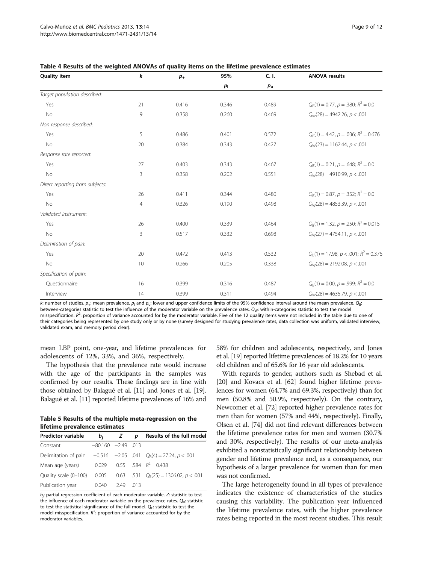| <b>Quality item</b>             | k              | $p_{+}$ | 95%         | C. I.   | <b>ANOVA results</b>                         |
|---------------------------------|----------------|---------|-------------|---------|----------------------------------------------|
|                                 |                |         | $p_{\rm l}$ | $p_{u}$ |                                              |
| Target population described:    |                |         |             |         |                                              |
| Yes                             | 21             | 0.416   | 0.346       | 0.489   | $Q_B(1) = 0.77$ , $p = .380$ ; $R^2 = 0.0$   |
| No                              | 9              | 0.358   | 0.260       | 0.469   | $Q_W(28) = 4942.26$ , $p < .001$             |
| Non response described:         |                |         |             |         |                                              |
| Yes                             | 5              | 0.486   | 0.401       | 0.572   | $Q_B(1) = 4.42$ , $p = .036$ ; $R^2 = 0.676$ |
| <b>No</b>                       | 20             | 0.384   | 0.343       | 0.427   | $Q_W(23) = 1162.44, p < .001$                |
| Response rate reported:         |                |         |             |         |                                              |
| Yes                             | 27             | 0.403   | 0.343       | 0.467   | $Q_R(1) = 0.21$ , $p = .648$ ; $R^2 = 0.0$   |
| <b>No</b>                       | 3              | 0.358   | 0.202       | 0.551   | $Q_W(28) = 4910.99$ , $p < .001$             |
| Direct reporting from subjects: |                |         |             |         |                                              |
| Yes                             | 26             | 0.411   | 0.344       | 0.480   | $Q_R(1) = 0.87$ , $p = .352$ ; $R^2 = 0.0$   |
| No                              | $\overline{4}$ | 0.326   | 0.190       | 0.498   | $Q_W(28) = 4853.39$ , $p < .001$             |
| Validated instrument:           |                |         |             |         |                                              |
| Yes                             | 26             | 0.400   | 0.339       | 0.464   | $Q_B(1) = 1.32$ , $p = .250$ ; $R^2 = 0.015$ |
| No                              | $\mathsf 3$    | 0.517   | 0.332       | 0.698   | $Q_W(27) = 4754.11, p < .001$                |
| Delimitation of pain:           |                |         |             |         |                                              |
| Yes                             | 20             | 0.472   | 0.413       | 0.532   | $Q_B(1) = 17.98, p < .001; R^2 = 0.376$      |
| No                              | 10             | 0.266   | 0.205       | 0.338   | $Q_W(28) = 2192.08, p < .001$                |
| Specification of pain:          |                |         |             |         |                                              |
| Questionnaire                   | 16             | 0.399   | 0.316       | 0.487   | $Q_B(1) = 0.00$ , $p = .999$ ; $R^2 = 0.0$   |
| Interview                       | 14             | 0.399   | 0.311       | 0.494   | $Q_W(28) = 4635.79$ , $p < .001$             |

<span id="page-8-0"></span>Table 4 Results of the weighted ANOVAs of quality items on the lifetime prevalence estimates

k: number of studies.  $p_{+}$ : mean prevalence.  $p_{\|}$  and  $p_{\|}$ : lower and upper confidence limits of the 95% confidence interval around the mean prevalence.  $Q_{\text{B}}$ : between-categories statistic to test the influence of the moderator variable on the prevalence rates.  $Q_W$ : within-categories statistic to test the model misspecification. R<sup>2</sup>: proportion of variance accounted for by the moderator variable. Five of the 12 quality items were not included in the table due to one of their categories being represented by one study only or by none (survey designed for studying prevalence rates, data collection was uniform, validated interview, validated exam, and memory period clear).

mean LBP point, one-year, and lifetime prevalences for adolescents of 12%, 33%, and 36%, respectively.

The hypothesis that the prevalence rate would increase with the age of the participants in the samples was confirmed by our results. These findings are in line with those obtained by Balagué et al. [\[11\]](#page-10-0) and Jones et al. [\[19](#page-10-0)]. Balagué et al. [[11\]](#page-10-0) reported lifetime prevalences of 16% and

| Table 5 Results of the multiple meta-regression on the |  |
|--------------------------------------------------------|--|
| lifetime prevalence estimates                          |  |

| memme prevalence estimates |                      |      |      |                                                                         |  |  |  |  |
|----------------------------|----------------------|------|------|-------------------------------------------------------------------------|--|--|--|--|
| <b>Predictor variable</b>  | $b_i$                | Z    | D    | Results of the full model                                               |  |  |  |  |
| Constant                   | $-80.160 - 2.49$ 013 |      |      |                                                                         |  |  |  |  |
|                            |                      |      |      | Delimitation of pain $-0.516 -2.05$ . 041 $Q_B(4) = 27.24$ , $p < .001$ |  |  |  |  |
| Mean age (years)           | 0.029                |      |      | $0.55$ 584 $R^2 = 0.438$                                                |  |  |  |  |
| Quality scale (0-100)      | 0.005                |      |      | 0.63 .531 $Q_F(25) = 1306.02$ , $p < .001$                              |  |  |  |  |
| Publication year           | 0.040                | 2.49 | .013 |                                                                         |  |  |  |  |

b<sub>j</sub>: partial regression coefficient of each moderator variable. Z: statistic to test the influence of each moderator variable on the prevalence rates.  $Q_{R}$ : statistic to test the statistical significance of the full model.  $Q_{E}$ : statistic to test the model misspecification.  $R^2$ : proportion of variance accounted for by the moderator variables.

58% for children and adolescents, respectively, and Jones et al. [\[19\]](#page-10-0) reported lifetime prevalences of 18.2% for 10 years old children and of 65.6% for 16 year old adolescents.

With regards to gender, authors such as Shebad et al. [[20](#page-10-0)] and Kovacs et al. [\[62\]](#page-11-0) found higher lifetime prevalences for women (64.7% and 69.3%, respectively) than for men (50.8% and 50.9%, respectively). On the contrary, Newcomer et al. [\[72\]](#page-11-0) reported higher prevalence rates for men than for women (57% and 44%, respectively). Finally, Olsen et al. [[74\]](#page-11-0) did not find relevant differences between the lifetime prevalence rates for men and women (30.7% and 30%, respectively). The results of our meta-analysis exhibited a nonstatistically significant relationship between gender and lifetime prevalence and, as a consequence, our hypothesis of a larger prevalence for women than for men was not confirmed.

The large heterogeneity found in all types of prevalence indicates the existence of characteristics of the studies causing this variability. The publication year influenced the lifetime prevalence rates, with the higher prevalence rates being reported in the most recent studies. This result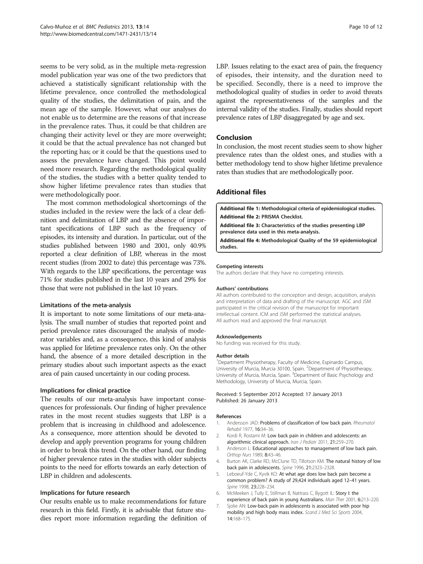<span id="page-9-0"></span>seems to be very solid, as in the multiple meta-regression model publication year was one of the two predictors that achieved a statistically significant relationship with the lifetime prevalence, once controlled the methodological quality of the studies, the delimitation of pain, and the mean age of the sample. However, what our analyses do not enable us to determine are the reasons of that increase in the prevalence rates. Thus, it could be that children are changing their activity level or they are more overweight; it could be that the actual prevalence has not changed but the reporting has; or it could be that the questions used to assess the prevalence have changed. This point would need more research. Regarding the methodological quality of the studies, the studies with a better quality tended to show higher lifetime prevalence rates than studies that were methodologically poor.

The most common methodological shortcomings of the studies included in the review were the lack of a clear definition and delimitation of LBP and the absence of important specifications of LBP such as the frequency of episodes, its intensity and duration. In particular, out of the studies published between 1980 and 2001, only 40.9% reported a clear definition of LBP, whereas in the most recent studies (from 2002 to date) this percentage was 73%. With regards to the LBP specifications, the percentage was 71% for studies published in the last 10 years and 29% for those that were not published in the last 10 years.

#### Limitations of the meta-analysis

It is important to note some limitations of our meta-analysis. The small number of studies that reported point and period prevalence rates discouraged the analysis of moderator variables and, as a consequence, this kind of analysis was applied for lifetime prevalence rates only. On the other hand, the absence of a more detailed description in the primary studies about such important aspects as the exact area of pain caused uncertainty in our coding process.

#### Implications for clinical practice

The results of our meta-analysis have important consequences for professionals. Our finding of higher prevalence rates in the most recent studies suggests that LBP is a problem that is increasing in childhood and adolescence. As a consequence, more attention should be devoted to develop and apply prevention programs for young children in order to break this trend. On the other hand, our finding of higher prevalence rates in the studies with older subjects points to the need for efforts towards an early detection of LBP in children and adolescents.

#### Implications for future research

Our results enable us to make recommendations for future research in this field. Firstly, it is advisable that future studies report more information regarding the definition of LBP. Issues relating to the exact area of pain, the frequency of episodes, their intensity, and the duration need to be specified. Secondly, there is a need to improve the methodological quality of studies in order to avoid threats against the representativeness of the samples and the internal validity of the studies. Finally, studies should report prevalence rates of LBP disaggregated by age and sex.

#### Conclusion

In conclusion, the most recent studies seem to show higher prevalence rates than the oldest ones, and studies with a better methodology tend to show higher lifetime prevalence rates than studies that are methodologically poor.

## Additional files

[Additional file 1:](http://www.biomedcentral.com/content/supplementary/1471-2431-13-14-S1.doc) Methodological criteria of epidemiological studies. [Additional file 2:](http://www.biomedcentral.com/content/supplementary/1471-2431-13-14-S2.doc) PRISMA Checklist.

[Additional file 3:](http://www.biomedcentral.com/content/supplementary/1471-2431-13-14-S3.doc) Characteristics of the studies presenting LBP prevalence data used in this meta-analysis.

[Additional file 4:](http://www.biomedcentral.com/content/supplementary/1471-2431-13-14-S4.doc) Methodological Quality of the 59 epidemiological studies.

#### Competing interests

The authors declare that they have no competing interests.

#### Authors' contributions

All authors contributed to the conception and design, acquisition, analysis and interpretation of data and drafting of the manuscript. AGC and JSM participated in the critical revision of the manuscript for important intellectual content. ICM and JSM performed the statistical analyses. All authors read and approved the final manuscript.

#### Acknowledgements

No funding was received for this study.

#### Author details

<sup>1</sup> Department Physiotherapy, Faculty of Medicine, Espinardo Campus, University of Murcia, Murcia 30100, Spain. <sup>2</sup>Department of Physiotherapy, University of Murcia, Murcia, Spain. <sup>3</sup> Department of Basic Psychology and Methodology, University of Murcia, Murcia, Spain.

#### Received: 5 September 2012 Accepted: 17 January 2013 Published: 26 January 2013

#### References

- 1. Andersson JAD: Problems of classification of low back pain. Rheumatol Rehabil 1977, 16:34–36.
- 2. Kordi R, Rostami M: Low back pain in children and adolescents: an algorithmic clinical approach. Iran J Pediatr 2011, 21:259-270.
- 3. Anderson L: Educational approaches to management of low back pain. Orthop Nurs 1989, 8:43–46.
- 4. Burton AK, Clarke RD, McClune TD, Tillotson KM: The natural history of low back pain in adolescents. Spine 1996, 21:2323–2328.
- 5. Leboeuf-Yde C, Kyvik KO: At what age does low back pain become a common problem? A study of 29,424 individuals aged 12–41 years. Spine 1998, 23:228–234.
- 6. McMeeken J, Tully E, Stillman B, Nattrass C, Bygott IL: Story I: the experience of back pain in young Australians. Man Ther 2001, 6:213–220.
- 7. Sjolie AN: Low-back pain in adolescents is associated with poor hip mobility and high body mass index. Scand J Med Sci Sports 2004, 14:168–175.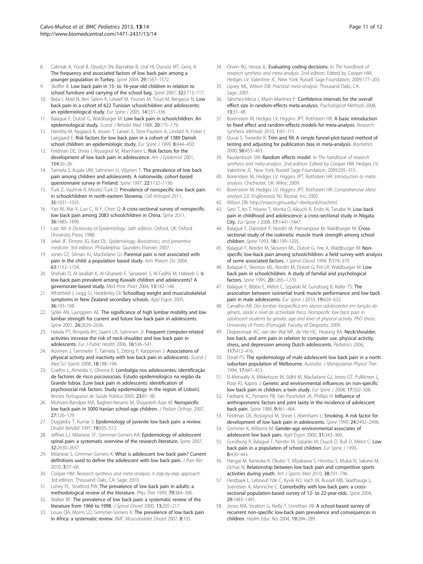- <span id="page-10-0"></span>8. Cakmak A, Yücel B, Ozyalçn SN, Bayraktar B, Ural HI, Duruöz MT, Genç A: The frequency and associated factors of low back pain among a younger population in Turkey. Spine 2004, 29:1567-1572.
- 9. Skoffer B: Low back pain in 15- to 16-year-old children in relation to school furniture and carrying of the school bag. Spine 2007, 32:E713–717.
- 10. Bejia I, Abid N, Ben Salem K, Letaief M, Younes M, Touzi M, Bergaoui N: Low back pain in a cohort of 622 Tunisian schoolchildren and adolescents: an epidemiological study. Eur Spine J 2005, 14:331-336.
- 11. Balagué F, Dutoit G, Waldburger M: Low back pain in schoolchildren. An epidemiological study. Scand J Rehabil Med 1988, 20:175–179.
- 12. Harreby M, Nygaard B, Jessen T, Larsen E, Storr-Paulsen A, Lindahl A, Fisker I, Laegaard E: Risk factors for low back pain in a cohort of 1389 Danish school children: an epidemiologic study. Eur Spine J 1999, 8:444-450.
- 13. Feldman DE, Shrier I, Rossignol M, Abenhaim L: Risk factors for the development of low back pain in adolescence. Am J Epidemiol 2001, 154:30–36.
- 14. Taimela S, Kujala UM, Salminen JJ, Viljanen T: The prevalence of low back pain among children and adolescents. A nationwide, cohort-based questionnaire survey in Finland. Spine 1997, 22:1132–1136.
- 15. Turk Z, Vauhnik R, Micetić-Turk D: Prevalence of nonspecific low back pain in schoolchildren in north-eastern Slovenia. Coll Antropol 2011, 35:1031–1035.
- 16. Yao W, Mai X, Luo C, Ai F, Chen Q: A cross-sectional survey of nonspecific low back pain among 2083 schoolchildren in China. Spine 2011, 36:1885–1890.
- 17. Last JM: A Dictionary of Epidemiology. 2ath edition. Oxford, UK: Oxford University Press; 1988.
- 18. Jekel JF, Elmore JG, Katz DL: Epidemiology, Biostatistics, and preventive medicine. 3rd edition. Philadelphia: Saunders Elsevier; 2007.
- 19. Jones GT, Silman AJ, Macfarlane GJ: Parental pain is not associated with pain in the child: a population based study. Ann Rheum Dis 2004, 63:1152–1154.
- 20. Shehab D, Al-Jarallah K, Al-Ghareeb F, Sanaseeri S, Al-Fadhli M, Habeeb S: Is low-back pain prevalent among Kuwaiti children and adolescents? A governorate-based study. Med Princ Pract 2004, 13:142–146.
- 21. Whittfield J, Legg SJ, Hedderley DI: Schoolbag weight and musculoskeletal symptoms in New Zealand secondary schools. Appl Ergon 2005, 36:193–198.
- 22. Sjölie AN, Ljunggren AE: The significance of high lumbar mobility and low lumbar strength for current and future low back pain in adolescents. Spine 2001, 26:2629-2636.
- 23. Hakala PT, Rimpelä AH, Saarni LA, Salminen JJ: Frequent computer-related activities increase the risk of neck-shoulder and low back pain in adolescents. Eur J Public Health 2006, 16:536–541.
- 24. Auvinen J, Tammelin T, Taimela S, Zitting P, Karppinen J: Associations of physical activity and inactivity with low back pain in adolescents. Scand J Med Sci Sports 2008, 18:188–194.
- 25. Coelho L, Almeida V, Oliveira R: Lombalgia nos adolescentes: identificação de factores de risco psicossociais. Estudo epidemiológico na região da Grande lisboa. [Low back pain in adolescents: identification of psychosocial risk factors. Study epidemiology in the region of Lisbon]. Revista Portuguesa de Saúde Pública 2005, 23:81–90.
- 26. Mohseni-Bandpei MA, Bagheri-Nesami M, Shayesteh-Azar M: Nonspecific low back pain in 5000 Iranian school-age children. J Pediatr Orthop. 2007, 27:126–129.
- 27. Duggleby T, Kumar S: Epidemiology of juvenile low back pain: a review. Disabil Rehabil 1997, 19:505–512.
- 28. Jeffries LJ, Milanese SF, Grimmer-Somers KA: Epidemiology of adolescent spinal pain: a systematic overview of the research literature. Spine 2007, 32:2630–2637.
- 29. Milanese S, Grimmer-Somers K: What is adolescent low back pain? Current definitions used to define the adolescent with low back pain. J Pain Res 2010, 3:57–66.
- 30. Cooper HM: Research synthesis and meta-analysis: A step-by-step approach. 3rd edition. Thousand Oaks, CA: Sage; 2010.
- 31. Loney PL, Stratford PW: The prevalence of low back pain in adults: a methodological review of the literature. Phys Ther 1999, 79:384-396.
- 32. Walker BF: The prevalence of low back pain: a systematic review of the literature from 1966 to 1998. J Spinal Disord 2000, 13:205–217.
- 33. Louw QA, Morris LD, Grimmer-Somers K: The prevalence of low back pain in Africa: a systematic review. BMC Musculoskelet Disord 2007, 8:105.
- 34. Orwin RG, Vevea JL: Evaluating coding decisions. In The handbook of research synthesis and meta-analysis. 2nd edition. Edited by Cooper HM, Hedges LV, Valentine JC. New York: Russell Sage Foundation; 2009:177–203.
- 35. Lipsey ML, Wilson DB: Practical meta-analysis. Thousand Oaks, CA: Sage: 2001
- 36. Sánchez-Meca J, Marín-Martínez F: Confidence intervals for the overall effect size in random-effects meta-analysis. Psychological Methods 2008, 13:31–48.
- 37. Borenstein M, Hedges LV, Higgins JPT, Rothstein HR: A basic introduction to fixed effect and random-effects models for meta-analysis. Research Synthesis Methods 2010, 1:97-111
- 38. Duval S, Tweedie R: Trim and fill: A simple funnel-plot-based method of testing and adjusting for publication bias in meta-analysis. Biometrics 2000, 56:455–463.
- 39. Raudenbush SW: Random effects model. In The handbook of research synthesis and meta-analysis. 2nd edition. Edited by Cooper HM, Hedges LV, Valentine JC. New York: Russell Sage Foundation; 2009:295–315.
- 40. Borenstein M, Hedges LV, Higgins JPT, Rothstein HR: Introduction to metaanalysis. Chichester, UK: Wiley; 2009.
- 41. Borenstein M, Hedges LV, Higgins JPT, Rothstein HR: Comprehensive Metaanalysis 2.0. Englewood, NJ: Biostat, Inc; 2005.
- 42. Wilson DB: [http://mason.gmu.edu/~dwilsonb/ma.html.](http://mason.gmu.edu/~dwilsonb/ma.html)
- 43. Sato T, Ito T, Hirano T, Morita O, Kikuchi R, Endo N, Tanabe N: Low back pain in childhood and adolescence: a cross-sectional study in Niigata City. Eur Spine J 2008, 17:1441–1447.
- 44. Balagué F, Damidot P, Nordin M, Parnianpour M, Waldburger M: Crosssectional study of the isokinetic muscle trunk strength among school children. Spine 1993, 18:1199–1205.
- Balagué F, Nordin M, Skovron ML, Dutoit G, Yee A, Waldburger M: Nonspecific low-back pain among schoolchildren: a field survey with analysis of some associated factors. J Spinal Disord 1994, 7:374–379.
- 46. Balagué F, Skovron ML, Nordin M, Dutoit G, Pol LR, Waldburger M: Low back pain in schoolchildren. A study of familial and psychological factors. Spine 1995, 20:1265–1270.
- 47. Balagué F, Bibbo E, Mélot C, Szpalski M, Gunzburg R, Keller TS: The association between isoinertial trunk muscle performance and low back pain in male adolescents. Eur Spine J 2010, 19:624-632.
- 48. Carvalho AR: Dor lombar inespecífica em alunos adolescentes em função do género, idade e nível de actividade física. Nonspecific low back pain in adolescent students by gender, age and level of physical activity. PhD thesis. University of Porto (Portugal): Faculty of Desporto; 2009.
- 49. Diepenmaat AC, van der Wal MF, de Vet HC, Hirasing RA: Neck/shoulder, low back, and arm pain in relation to computer use, physical activity, stress, and depression among Dutch adolescents. Pediatrics 2006, 117:412–416.
- 50. Ebrall PS: The epidemiology of male adolescent low back pain in a north suburban population of Melbourne. Australia. J Manipulative Physiol Ther 1994, 17:447–453.
- 51. El-Metwally A, Mikkelsson M, Ståhl M, Macfarlane GJ, Jones GT, Pulkkinen L, Rose RJ, Kaprio J: Genetic and environmental influences on non-specific low back pain in children: a twin study. Eur Spine J 2008, 17:502-508.
- 52. Fairbank JC, Pynsent PB, Van Poortvliet JA, Phillips H: Influence of anthropometric factors and joint laxity in the incidence of adolescent back pain. Spine 1984, 9:461–464.
- 53. Feldman DE, Rossignol M, Shrier I, Abenhaim L: Smoking. A risk factor for development of low back pain in adolescents. Spine 1999, 24:2492-2496.
- Grimmer K, Williams M: Gender-age environmental associates of adolescent low back pain. Appl Ergon 2000, 31:343–360.
- 55. Gunzburg R, Balagué F, Nordin M, Szpalski M, Duyck D, Bull D, Mélot C: Low back pain in a population of school children. Eur Spine J 1999, 8:439–443.
- 56. Hangai M, Kaneoka K, Okubo Y, Miyakawa S, Hinotsu S, Mukai N, Sakane M, Ochiai N: Relationship between low back pain and competitive sports activities during youth. Am J Sports Med 2010, 38:791–796.
- 57. Hestbaek L, Leboeuf-Yde C, Kyvik KO, Vach W, Russell MB, Skadhauge L, Svendsen A, Manniche C: Comorbidity with low back pain: a crosssectional population-based survey of 12- to 22-year-olds. Spine 2004, 29:1483–1491.
- 58. Jones MA, Stratton G, Reilly T, Unnithan VB: A school-based survey of recurrent non-specific low-back pain prevalence and consequences in children. Health Educ Res 2004, 19:284–289.